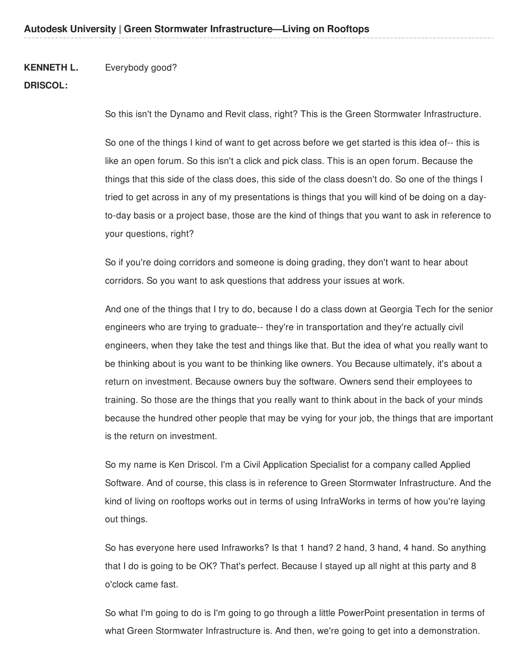#### **KENNETH L.** Everybody good?

# **DRISCOL:**

So this isn't the Dynamo and Revit class, right? This is the Green Stormwater Infrastructure.

So one of the things I kind of want to get across before we get started is this idea of-- this is like an open forum. So this isn't a click and pick class. This is an open forum. Because the things that this side of the class does, this side of the class doesn't do. So one of the things I tried to get across in any of my presentations is things that you will kind of be doing on a dayto-day basis or a project base, those are the kind of things that you want to ask in reference to your questions, right?

So if you're doing corridors and someone is doing grading, they don't want to hear about corridors. So you want to ask questions that address your issues at work.

And one of the things that I try to do, because I do a class down at Georgia Tech for the senior engineers who are trying to graduate-- they're in transportation and they're actually civil engineers, when they take the test and things like that. But the idea of what you really want to be thinking about is you want to be thinking like owners. You Because ultimately, it's about a return on investment. Because owners buy the software. Owners send their employees to training. So those are the things that you really want to think about in the back of your minds because the hundred other people that may be vying for your job, the things that are important is the return on investment.

So my name is Ken Driscol. I'm a Civil Application Specialist for a company called Applied Software. And of course, this class is in reference to Green Stormwater Infrastructure. And the kind of living on rooftops works out in terms of using InfraWorks in terms of how you're laying out things.

So has everyone here used Infraworks? Is that 1 hand? 2 hand, 3 hand, 4 hand. So anything that I do is going to be OK? That's perfect. Because I stayed up all night at this party and 8 o'clock came fast.

So what I'm going to do is I'm going to go through a little PowerPoint presentation in terms of what Green Stormwater Infrastructure is. And then, we're going to get into a demonstration.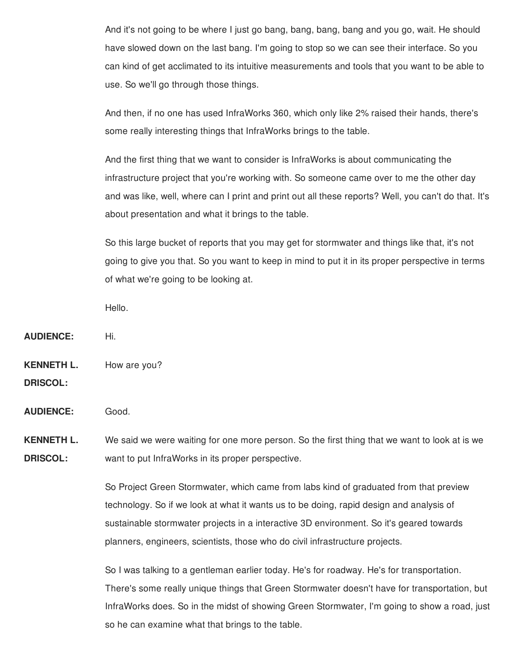And it's not going to be where I just go bang, bang, bang, bang and you go, wait. He should have slowed down on the last bang. I'm going to stop so we can see their interface. So you can kind of get acclimated to its intuitive measurements and tools that you want to be able to use. So we'll go through those things.

And then, if no one has used InfraWorks 360, which only like 2% raised their hands, there's some really interesting things that InfraWorks brings to the table.

And the first thing that we want to consider is InfraWorks is about communicating the infrastructure project that you're working with. So someone came over to me the other day and was like, well, where can I print and print out all these reports? Well, you can't do that. It's about presentation and what it brings to the table.

So this large bucket of reports that you may get for stormwater and things like that, it's not going to give you that. So you want to keep in mind to put it in its proper perspective in terms of what we're going to be looking at.

Hello.

**AUDIENCE:** Hi.

**KENNETH L.** How are you?

**DRISCOL:**

**AUDIENCE:** Good.

**KENNETH L. DRISCOL:** We said we were waiting for one more person. So the first thing that we want to look at is we want to put InfraWorks in its proper perspective.

> So Project Green Stormwater, which came from labs kind of graduated from that preview technology. So if we look at what it wants us to be doing, rapid design and analysis of sustainable stormwater projects in a interactive 3D environment. So it's geared towards planners, engineers, scientists, those who do civil infrastructure projects.

So I was talking to a gentleman earlier today. He's for roadway. He's for transportation. There's some really unique things that Green Stormwater doesn't have for transportation, but InfraWorks does. So in the midst of showing Green Stormwater, I'm going to show a road, just so he can examine what that brings to the table.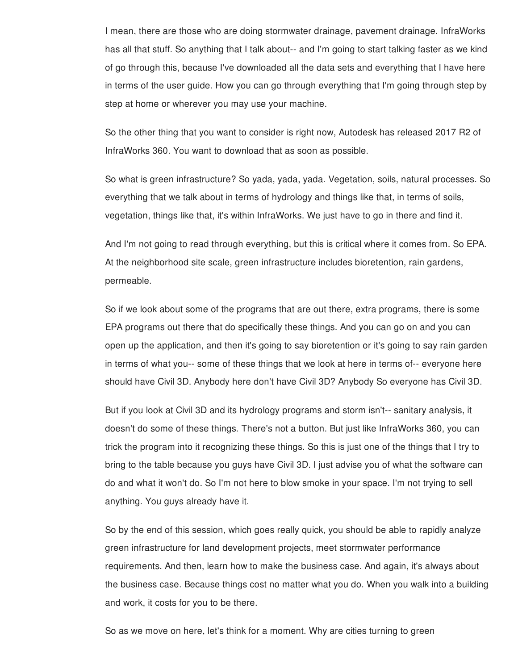I mean, there are those who are doing stormwater drainage, pavement drainage. InfraWorks has all that stuff. So anything that I talk about-- and I'm going to start talking faster as we kind of go through this, because I've downloaded all the data sets and everything that I have here in terms of the user guide. How you can go through everything that I'm going through step by step at home or wherever you may use your machine.

So the other thing that you want to consider is right now, Autodesk has released 2017 R2 of InfraWorks 360. You want to download that as soon as possible.

So what is green infrastructure? So yada, yada, yada. Vegetation, soils, natural processes. So everything that we talk about in terms of hydrology and things like that, in terms of soils, vegetation, things like that, it's within InfraWorks. We just have to go in there and find it.

And I'm not going to read through everything, but this is critical where it comes from. So EPA. At the neighborhood site scale, green infrastructure includes bioretention, rain gardens, permeable.

So if we look about some of the programs that are out there, extra programs, there is some EPA programs out there that do specifically these things. And you can go on and you can open up the application, and then it's going to say bioretention or it's going to say rain garden in terms of what you-- some of these things that we look at here in terms of-- everyone here should have Civil 3D. Anybody here don't have Civil 3D? Anybody So everyone has Civil 3D.

But if you look at Civil 3D and its hydrology programs and storm isn't-- sanitary analysis, it doesn't do some of these things. There's not a button. But just like InfraWorks 360, you can trick the program into it recognizing these things. So this is just one of the things that I try to bring to the table because you guys have Civil 3D. I just advise you of what the software can do and what it won't do. So I'm not here to blow smoke in your space. I'm not trying to sell anything. You guys already have it.

So by the end of this session, which goes really quick, you should be able to rapidly analyze green infrastructure for land development projects, meet stormwater performance requirements. And then, learn how to make the business case. And again, it's always about the business case. Because things cost no matter what you do. When you walk into a building and work, it costs for you to be there.

So as we move on here, let's think for a moment. Why are cities turning to green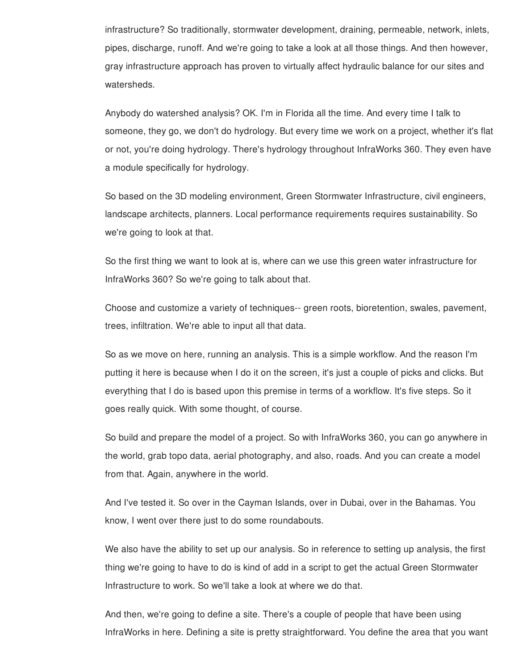infrastructure? So traditionally, stormwater development, draining, permeable, network, inlets, pipes, discharge, runoff. And we're going to take a look at all those things. And then however, gray infrastructure approach has proven to virtually affect hydraulic balance for our sites and watersheds.

Anybody do watershed analysis? OK. I'm in Florida all the time. And every time I talk to someone, they go, we don't do hydrology. But every time we work on a project, whether it's flat or not, you're doing hydrology. There's hydrology throughout InfraWorks 360. They even have a module specifically for hydrology.

So based on the 3D modeling environment, Green Stormwater Infrastructure, civil engineers, landscape architects, planners. Local performance requirements requires sustainability. So we're going to look at that.

So the first thing we want to look at is, where can we use this green water infrastructure for InfraWorks 360? So we're going to talk about that.

Choose and customize a variety of techniques-- green roots, bioretention, swales, pavement, trees, infiltration. We're able to input all that data.

So as we move on here, running an analysis. This is a simple workflow. And the reason I'm putting it here is because when I do it on the screen, it's just a couple of picks and clicks. But everything that I do is based upon this premise in terms of a workflow. It's five steps. So it goes really quick. With some thought, of course.

So build and prepare the model of a project. So with InfraWorks 360, you can go anywhere in the world, grab topo data, aerial photography, and also, roads. And you can create a model from that. Again, anywhere in the world.

And I've tested it. So over in the Cayman Islands, over in Dubai, over in the Bahamas. You know, I went over there just to do some roundabouts.

We also have the ability to set up our analysis. So in reference to setting up analysis, the first thing we're going to have to do is kind of add in a script to get the actual Green Stormwater Infrastructure to work. So we'll take a look at where we do that.

And then, we're going to define a site. There's a couple of people that have been using InfraWorks in here. Defining a site is pretty straightforward. You define the area that you want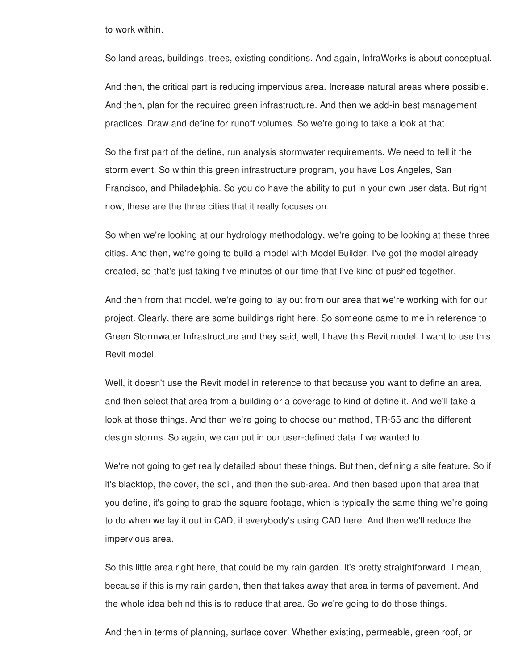to work within.

So land areas, buildings, trees, existing conditions. And again, InfraWorks is about conceptual.

And then, the critical part is reducing impervious area. Increase natural areas where possible. And then, plan for the required green infrastructure. And then we add-in best management practices. Draw and define for runoff volumes. So we're going to take a look at that.

So the first part of the define, run analysis stormwater requirements. We need to tell it the storm event. So within this green infrastructure program, you have Los Angeles, San Francisco, and Philadelphia. So you do have the ability to put in your own user data. But right now, these are the three cities that it really focuses on.

So when we're looking at our hydrology methodology, we're going to be looking at these three cities. And then, we're going to build a model with Model Builder. I've got the model already created, so that's just taking five minutes of our time that I've kind of pushed together.

And then from that model, we're going to lay out from our area that we're working with for our project. Clearly, there are some buildings right here. So someone came to me in reference to Green Stormwater Infrastructure and they said, well, I have this Revit model. I want to use this Revit model.

Well, it doesn't use the Revit model in reference to that because you want to define an area, and then select that area from a building or a coverage to kind of define it. And we'll take a look at those things. And then we're going to choose our method, TR-55 and the different design storms. So again, we can put in our user-defined data if we wanted to.

We're not going to get really detailed about these things. But then, defining a site feature. So if it's blacktop, the cover, the soil, and then the sub-area. And then based upon that area that you define, it's going to grab the square footage, which is typically the same thing we're going to do when we lay it out in CAD, if everybody's using CAD here. And then we'll reduce the impervious area.

So this little area right here, that could be my rain garden. It's pretty straightforward. I mean, because if this is my rain garden, then that takes away that area in terms of pavement. And the whole idea behind this is to reduce that area. So we're going to do those things.

And then in terms of planning, surface cover. Whether existing, permeable, green roof, or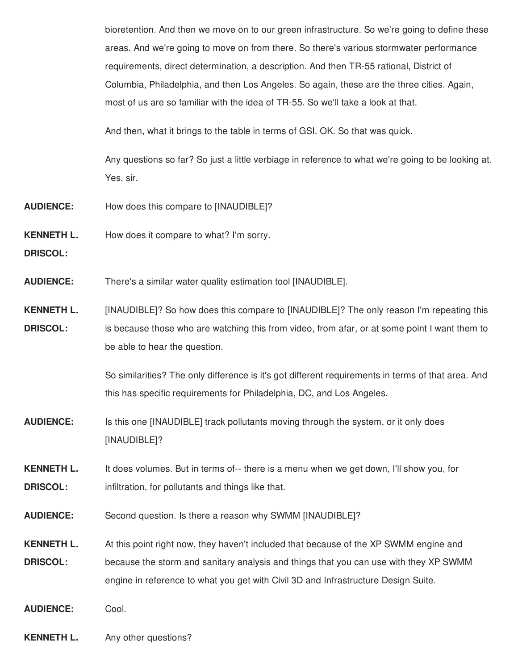bioretention. And then we move on to our green infrastructure. So we're going to define these areas. And we're going to move on from there. So there's various stormwater performance requirements, direct determination, a description. And then TR-55 rational, District of Columbia, Philadelphia, and then Los Angeles. So again, these are the three cities. Again, most of us are so familiar with the idea of TR-55. So we'll take a look at that.

And then, what it brings to the table in terms of GSI. OK. So that was quick.

Any questions so far? So just a little verbiage in reference to what we're going to be looking at. Yes, sir.

- **AUDIENCE:** How does this compare to [INAUDIBLE]?
- **KENNETH L.** How does it compare to what? I'm sorry.

**DRISCOL:**

- **AUDIENCE:** There's a similar water quality estimation tool [INAUDIBLE].
- **KENNETH L. DRISCOL:** [INAUDIBLE]? So how does this compare to [INAUDIBLE]? The only reason I'm repeating this is because those who are watching this from video, from afar, or at some point I want them to be able to hear the question.

So similarities? The only difference is it's got different requirements in terms of that area. And this has specific requirements for Philadelphia, DC, and Los Angeles.

- **AUDIENCE:** Is this one [INAUDIBLE] track pollutants moving through the system, or it only does [INAUDIBLE]?
- **KENNETH L. DRISCOL:** It does volumes. But in terms of-- there is a menu when we get down, I'll show you, for infiltration, for pollutants and things like that.
- **AUDIENCE:** Second question. Is there a reason why SWMM [INAUDIBLE]?
- **KENNETH L. DRISCOL:** At this point right now, they haven't included that because of the XP SWMM engine and because the storm and sanitary analysis and things that you can use with they XP SWMM engine in reference to what you get with Civil 3D and Infrastructure Design Suite.
- **AUDIENCE:** Cool.
- **KENNETH L.** Any other questions?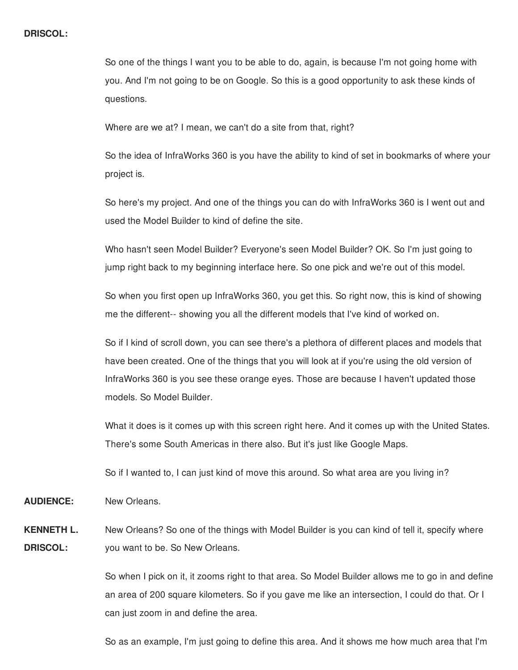## **DRISCOL:**

So one of the things I want you to be able to do, again, is because I'm not going home with you. And I'm not going to be on Google. So this is a good opportunity to ask these kinds of questions.

Where are we at? I mean, we can't do a site from that, right?

So the idea of InfraWorks 360 is you have the ability to kind of set in bookmarks of where your project is.

So here's my project. And one of the things you can do with InfraWorks 360 is I went out and used the Model Builder to kind of define the site.

Who hasn't seen Model Builder? Everyone's seen Model Builder? OK. So I'm just going to jump right back to my beginning interface here. So one pick and we're out of this model.

So when you first open up InfraWorks 360, you get this. So right now, this is kind of showing me the different-- showing you all the different models that I've kind of worked on.

So if I kind of scroll down, you can see there's a plethora of different places and models that have been created. One of the things that you will look at if you're using the old version of InfraWorks 360 is you see these orange eyes. Those are because I haven't updated those models. So Model Builder.

What it does is it comes up with this screen right here. And it comes up with the United States. There's some South Americas in there also. But it's just like Google Maps.

So if I wanted to, I can just kind of move this around. So what area are you living in?

**AUDIENCE:** New Orleans.

**KENNETH L. DRISCOL:** New Orleans? So one of the things with Model Builder is you can kind of tell it, specify where you want to be. So New Orleans.

> So when I pick on it, it zooms right to that area. So Model Builder allows me to go in and define an area of 200 square kilometers. So if you gave me like an intersection, I could do that. Or I can just zoom in and define the area.

So as an example, I'm just going to define this area. And it shows me how much area that I'm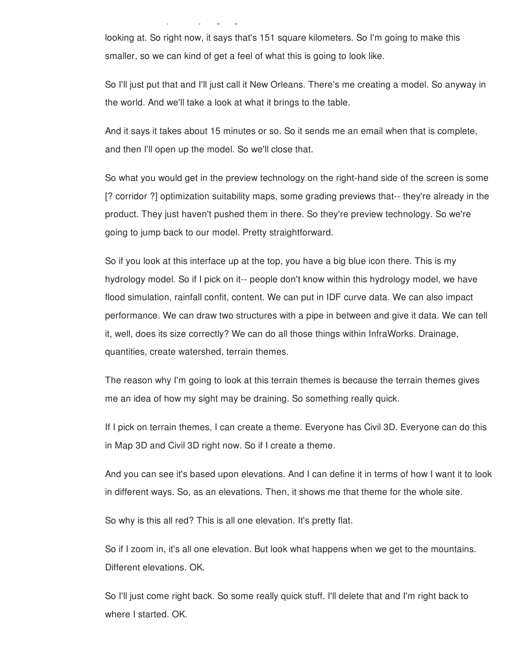So as an example, I'm just going to define this area. And it shows me how much area that I'm

looking at. So right now, it says that's 151 square kilometers. So I'm going to make this smaller, so we can kind of get a feel of what this is going to look like.

So I'll just put that and I'll just call it New Orleans. There's me creating a model. So anyway in the world. And we'll take a look at what it brings to the table.

And it says it takes about 15 minutes or so. So it sends me an email when that is complete, and then I'll open up the model. So we'll close that.

So what you would get in the preview technology on the right-hand side of the screen is some [? corridor ?] optimization suitability maps, some grading previews that-- they're already in the product. They just haven't pushed them in there. So they're preview technology. So we're going to jump back to our model. Pretty straightforward.

So if you look at this interface up at the top, you have a big blue icon there. This is my hydrology model. So if I pick on it-- people don't know within this hydrology model, we have flood simulation, rainfall confit, content. We can put in IDF curve data. We can also impact performance. We can draw two structures with a pipe in between and give it data. We can tell it, well, does its size correctly? We can do all those things within InfraWorks. Drainage, quantities, create watershed, terrain themes.

The reason why I'm going to look at this terrain themes is because the terrain themes gives me an idea of how my sight may be draining. So something really quick.

If I pick on terrain themes, I can create a theme. Everyone has Civil 3D. Everyone can do this in Map 3D and Civil 3D right now. So if I create a theme.

And you can see it's based upon elevations. And I can define it in terms of how I want it to look in different ways. So, as an elevations. Then, it shows me that theme for the whole site.

So why is this all red? This is all one elevation. It's pretty flat.

So if I zoom in, it's all one elevation. But look what happens when we get to the mountains. Different elevations. OK.

So I'll just come right back. So some really quick stuff. I'll delete that and I'm right back to where I started. OK.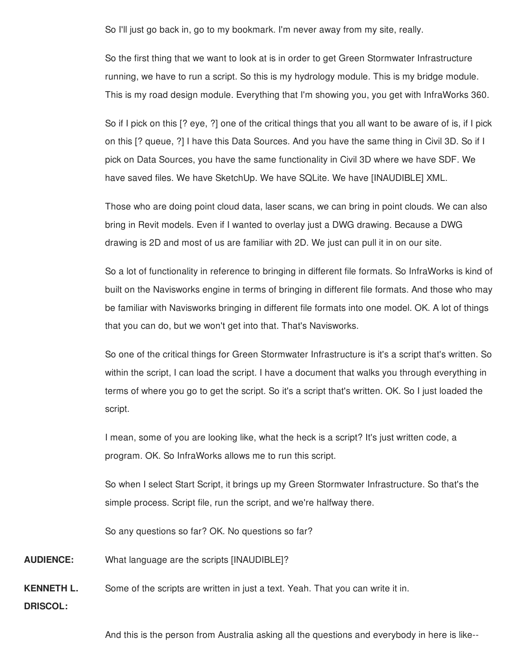So I'll just go back in, go to my bookmark. I'm never away from my site, really.

So the first thing that we want to look at is in order to get Green Stormwater Infrastructure running, we have to run a script. So this is my hydrology module. This is my bridge module. This is my road design module. Everything that I'm showing you, you get with InfraWorks 360.

So if I pick on this [? eye, ?] one of the critical things that you all want to be aware of is, if I pick on this [? queue, ?] I have this Data Sources. And you have the same thing in Civil 3D. So if I pick on Data Sources, you have the same functionality in Civil 3D where we have SDF. We have saved files. We have SketchUp. We have SQLite. We have [INAUDIBLE] XML.

Those who are doing point cloud data, laser scans, we can bring in point clouds. We can also bring in Revit models. Even if I wanted to overlay just a DWG drawing. Because a DWG drawing is 2D and most of us are familiar with 2D. We just can pull it in on our site.

So a lot of functionality in reference to bringing in different file formats. So InfraWorks is kind of built on the Navisworks engine in terms of bringing in different file formats. And those who may be familiar with Navisworks bringing in different file formats into one model. OK. A lot of things that you can do, but we won't get into that. That's Navisworks.

So one of the critical things for Green Stormwater Infrastructure is it's a script that's written. So within the script, I can load the script. I have a document that walks you through everything in terms of where you go to get the script. So it's a script that's written. OK. So I just loaded the script.

I mean, some of you are looking like, what the heck is a script? It's just written code, a program. OK. So InfraWorks allows me to run this script.

So when I select Start Script, it brings up my Green Stormwater Infrastructure. So that's the simple process. Script file, run the script, and we're halfway there.

So any questions so far? OK. No questions so far?

**AUDIENCE:** What language are the scripts [INAUDIBLE]?

**KENNETH L.** Some of the scripts are written in just a text. Yeah. That you can write it in.

**DRISCOL:**

And this is the person from Australia asking all the questions and everybody in here is like--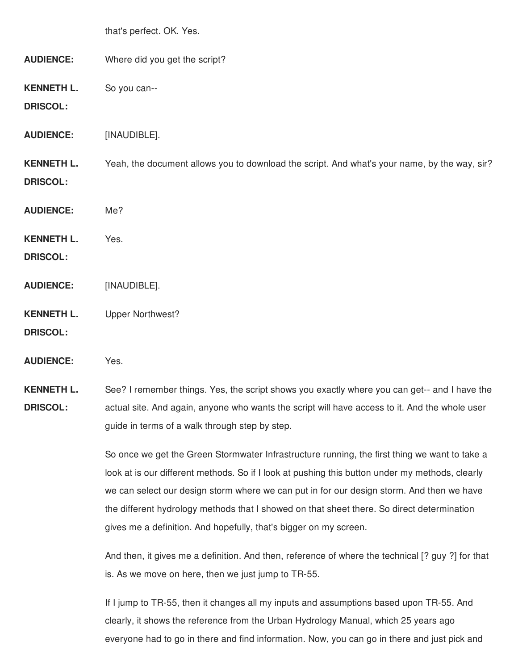|                                      | that's perfect. OK. Yes.                                                                     |
|--------------------------------------|----------------------------------------------------------------------------------------------|
| <b>AUDIENCE:</b>                     | Where did you get the script?                                                                |
| <b>KENNETH L.</b><br><b>DRISCOL:</b> | So you can--                                                                                 |
| <b>AUDIENCE:</b>                     | [INAUDIBLE].                                                                                 |
| <b>KENNETH L.</b><br><b>DRISCOL:</b> | Yeah, the document allows you to download the script. And what's your name, by the way, sir? |
| <b>AUDIENCE:</b>                     | Me?                                                                                          |
| <b>KENNETH L.</b><br><b>DRISCOL:</b> | Yes.                                                                                         |
| <b>AUDIENCE:</b>                     | [INAUDIBLE].                                                                                 |
| <b>KENNETH L.</b><br><b>DRISCOL:</b> | <b>Upper Northwest?</b>                                                                      |
| 10010010000                          |                                                                                              |

**AUDIENCE:** Yes.

**KENNETH L. DRISCOL:** See? I remember things. Yes, the script shows you exactly where you can get-- and I have the actual site. And again, anyone who wants the script will have access to it. And the whole user guide in terms of a walk through step by step.

> So once we get the Green Stormwater Infrastructure running, the first thing we want to take a look at is our different methods. So if I look at pushing this button under my methods, clearly we can select our design storm where we can put in for our design storm. And then we have the different hydrology methods that I showed on that sheet there. So direct determination gives me a definition. And hopefully, that's bigger on my screen.

> And then, it gives me a definition. And then, reference of where the technical [? guy ?] for that is. As we move on here, then we just jump to TR-55.

If I jump to TR-55, then it changes all my inputs and assumptions based upon TR-55. And clearly, it shows the reference from the Urban Hydrology Manual, which 25 years ago everyone had to go in there and find information. Now, you can go in there and just pick and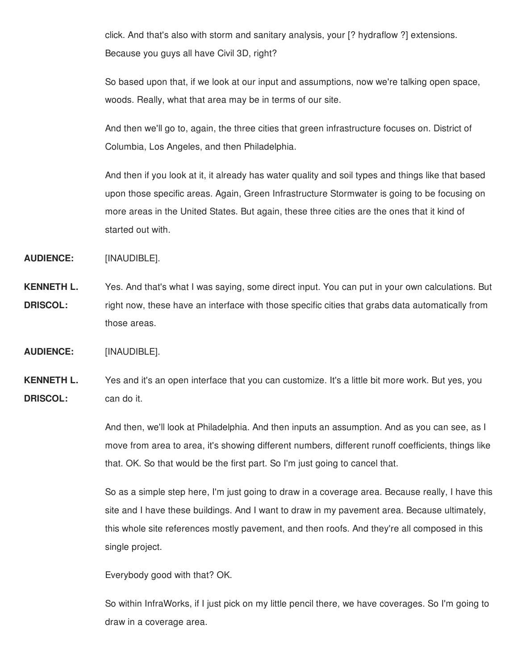click. And that's also with storm and sanitary analysis, your [? hydraflow ?] extensions. Because you guys all have Civil 3D, right?

So based upon that, if we look at our input and assumptions, now we're talking open space, woods. Really, what that area may be in terms of our site.

And then we'll go to, again, the three cities that green infrastructure focuses on. District of Columbia, Los Angeles, and then Philadelphia.

And then if you look at it, it already has water quality and soil types and things like that based upon those specific areas. Again, Green Infrastructure Stormwater is going to be focusing on more areas in the United States. But again, these three cities are the ones that it kind of started out with.

**AUDIENCE:** [INAUDIBLE].

**KENNETH L. DRISCOL:** Yes. And that's what I was saying, some direct input. You can put in your own calculations. But right now, these have an interface with those specific cities that grabs data automatically from those areas.

**AUDIENCE:** [INAUDIBLE].

**KENNETH L. DRISCOL:** Yes and it's an open interface that you can customize. It's a little bit more work. But yes, you can do it.

> And then, we'll look at Philadelphia. And then inputs an assumption. And as you can see, as I move from area to area, it's showing different numbers, different runoff coefficients, things like that. OK. So that would be the first part. So I'm just going to cancel that.

> So as a simple step here, I'm just going to draw in a coverage area. Because really, I have this site and I have these buildings. And I want to draw in my pavement area. Because ultimately, this whole site references mostly pavement, and then roofs. And they're all composed in this single project.

Everybody good with that? OK.

So within InfraWorks, if I just pick on my little pencil there, we have coverages. So I'm going to draw in a coverage area.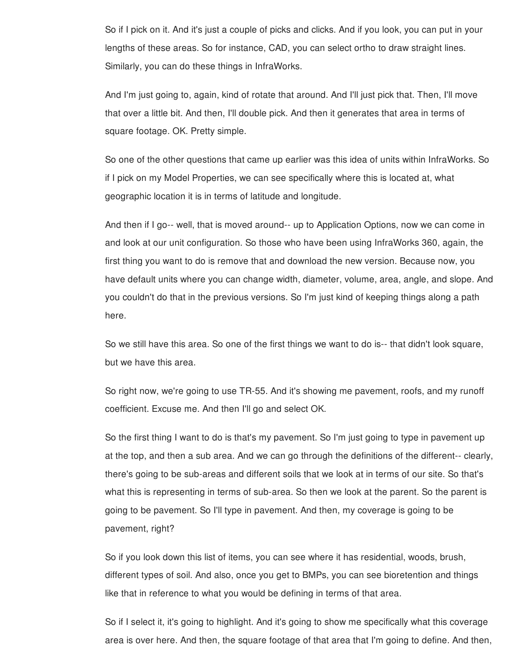So if I pick on it. And it's just a couple of picks and clicks. And if you look, you can put in your lengths of these areas. So for instance, CAD, you can select ortho to draw straight lines. Similarly, you can do these things in InfraWorks.

And I'm just going to, again, kind of rotate that around. And I'll just pick that. Then, I'll move that over a little bit. And then, I'll double pick. And then it generates that area in terms of square footage. OK. Pretty simple.

So one of the other questions that came up earlier was this idea of units within InfraWorks. So if I pick on my Model Properties, we can see specifically where this is located at, what geographic location it is in terms of latitude and longitude.

And then if I go-- well, that is moved around-- up to Application Options, now we can come in and look at our unit configuration. So those who have been using InfraWorks 360, again, the first thing you want to do is remove that and download the new version. Because now, you have default units where you can change width, diameter, volume, area, angle, and slope. And you couldn't do that in the previous versions. So I'm just kind of keeping things along a path here.

So we still have this area. So one of the first things we want to do is-- that didn't look square, but we have this area.

So right now, we're going to use TR-55. And it's showing me pavement, roofs, and my runoff coefficient. Excuse me. And then I'll go and select OK.

So the first thing I want to do is that's my pavement. So I'm just going to type in pavement up at the top, and then a sub area. And we can go through the definitions of the different-- clearly, there's going to be sub-areas and different soils that we look at in terms of our site. So that's what this is representing in terms of sub-area. So then we look at the parent. So the parent is going to be pavement. So I'll type in pavement. And then, my coverage is going to be pavement, right?

So if you look down this list of items, you can see where it has residential, woods, brush, different types of soil. And also, once you get to BMPs, you can see bioretention and things like that in reference to what you would be defining in terms of that area.

So if I select it, it's going to highlight. And it's going to show me specifically what this coverage area is over here. And then, the square footage of that area that I'm going to define. And then,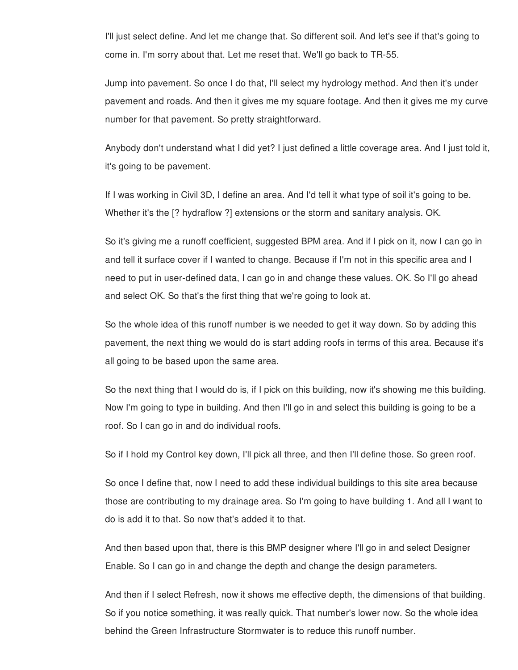I'll just select define. And let me change that. So different soil. And let's see if that's going to come in. I'm sorry about that. Let me reset that. We'll go back to TR-55.

Jump into pavement. So once I do that, I'll select my hydrology method. And then it's under pavement and roads. And then it gives me my square footage. And then it gives me my curve number for that pavement. So pretty straightforward.

Anybody don't understand what I did yet? I just defined a little coverage area. And I just told it, it's going to be pavement.

If I was working in Civil 3D, I define an area. And I'd tell it what type of soil it's going to be. Whether it's the [? hydraflow ?] extensions or the storm and sanitary analysis. OK.

So it's giving me a runoff coefficient, suggested BPM area. And if I pick on it, now I can go in and tell it surface cover if I wanted to change. Because if I'm not in this specific area and I need to put in user-defined data, I can go in and change these values. OK. So I'll go ahead and select OK. So that's the first thing that we're going to look at.

So the whole idea of this runoff number is we needed to get it way down. So by adding this pavement, the next thing we would do is start adding roofs in terms of this area. Because it's all going to be based upon the same area.

So the next thing that I would do is, if I pick on this building, now it's showing me this building. Now I'm going to type in building. And then I'll go in and select this building is going to be a roof. So I can go in and do individual roofs.

So if I hold my Control key down, I'll pick all three, and then I'll define those. So green roof.

So once I define that, now I need to add these individual buildings to this site area because those are contributing to my drainage area. So I'm going to have building 1. And all I want to do is add it to that. So now that's added it to that.

And then based upon that, there is this BMP designer where I'll go in and select Designer Enable. So I can go in and change the depth and change the design parameters.

And then if I select Refresh, now it shows me effective depth, the dimensions of that building. So if you notice something, it was really quick. That number's lower now. So the whole idea behind the Green Infrastructure Stormwater is to reduce this runoff number.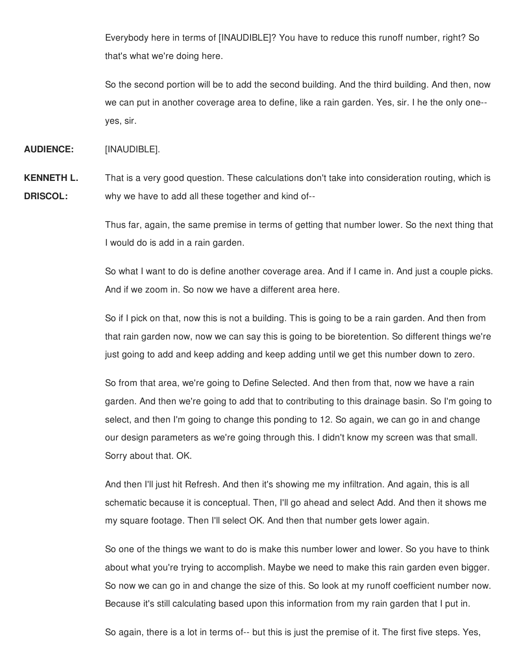Everybody here in terms of [INAUDIBLE]? You have to reduce this runoff number, right? So that's what we're doing here.

So the second portion will be to add the second building. And the third building. And then, now we can put in another coverage area to define, like a rain garden. Yes, sir. I he the only one- yes, sir.

**AUDIENCE:** [INAUDIBLE].

**KENNETH L. DRISCOL:** That is a very good question. These calculations don't take into consideration routing, which is why we have to add all these together and kind of--

> Thus far, again, the same premise in terms of getting that number lower. So the next thing that I would do is add in a rain garden.

> So what I want to do is define another coverage area. And if I came in. And just a couple picks. And if we zoom in. So now we have a different area here.

> So if I pick on that, now this is not a building. This is going to be a rain garden. And then from that rain garden now, now we can say this is going to be bioretention. So different things we're just going to add and keep adding and keep adding until we get this number down to zero.

> So from that area, we're going to Define Selected. And then from that, now we have a rain garden. And then we're going to add that to contributing to this drainage basin. So I'm going to select, and then I'm going to change this ponding to 12. So again, we can go in and change our design parameters as we're going through this. I didn't know my screen was that small. Sorry about that. OK.

And then I'll just hit Refresh. And then it's showing me my infiltration. And again, this is all schematic because it is conceptual. Then, I'll go ahead and select Add. And then it shows me my square footage. Then I'll select OK. And then that number gets lower again.

So one of the things we want to do is make this number lower and lower. So you have to think about what you're trying to accomplish. Maybe we need to make this rain garden even bigger. So now we can go in and change the size of this. So look at my runoff coefficient number now. Because it's still calculating based upon this information from my rain garden that I put in.

So again, there is a lot in terms of-- but this is just the premise of it. The first five steps. Yes,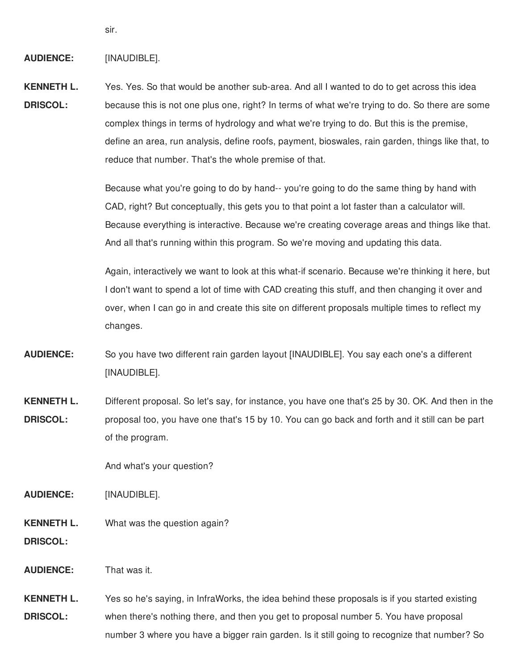sir.

## **AUDIENCE:** [INAUDIBLE].

**KENNETH L. DRISCOL:** Yes. Yes. So that would be another sub-area. And all I wanted to do to get across this idea because this is not one plus one, right? In terms of what we're trying to do. So there are some complex things in terms of hydrology and what we're trying to do. But this is the premise, define an area, run analysis, define roofs, payment, bioswales, rain garden, things like that, to reduce that number. That's the whole premise of that.

> Because what you're going to do by hand-- you're going to do the same thing by hand with CAD, right? But conceptually, this gets you to that point a lot faster than a calculator will. Because everything is interactive. Because we're creating coverage areas and things like that. And all that's running within this program. So we're moving and updating this data.

> Again, interactively we want to look at this what-if scenario. Because we're thinking it here, but I don't want to spend a lot of time with CAD creating this stuff, and then changing it over and over, when I can go in and create this site on different proposals multiple times to reflect my changes.

- **AUDIENCE:** So you have two different rain garden layout [INAUDIBLE]. You say each one's a different [INAUDIBLE].
- **KENNETH L. DRISCOL:** Different proposal. So let's say, for instance, you have one that's 25 by 30. OK. And then in the proposal too, you have one that's 15 by 10. You can go back and forth and it still can be part of the program.

And what's your question?

**AUDIENCE:** [INAUDIBLE].

**KENNETH L. DRISCOL:** What was the question again?

**AUDIENCE:** That was it.

**KENNETH L. DRISCOL:** Yes so he's saying, in InfraWorks, the idea behind these proposals is if you started existing when there's nothing there, and then you get to proposal number 5. You have proposal number 3 where you have a bigger rain garden. Is it still going to recognize that number? So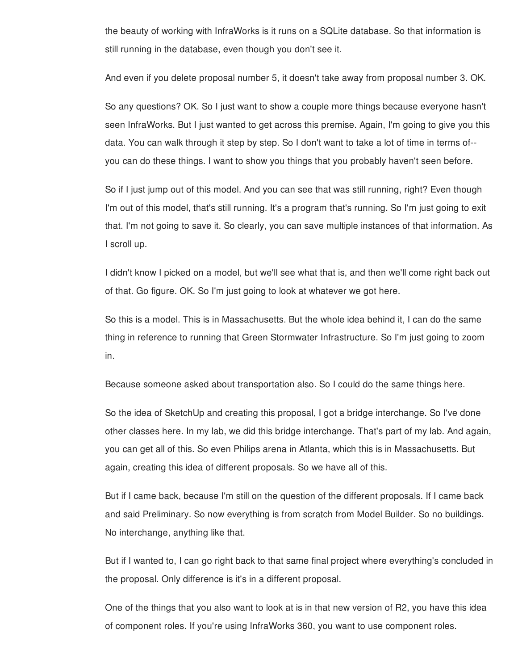the beauty of working with InfraWorks is it runs on a SQLite database. So that information is still running in the database, even though you don't see it.

And even if you delete proposal number 5, it doesn't take away from proposal number 3. OK.

So any questions? OK. So I just want to show a couple more things because everyone hasn't seen InfraWorks. But I just wanted to get across this premise. Again, I'm going to give you this data. You can walk through it step by step. So I don't want to take a lot of time in terms of- you can do these things. I want to show you things that you probably haven't seen before.

So if I just jump out of this model. And you can see that was still running, right? Even though I'm out of this model, that's still running. It's a program that's running. So I'm just going to exit that. I'm not going to save it. So clearly, you can save multiple instances of that information. As I scroll up.

I didn't know I picked on a model, but we'll see what that is, and then we'll come right back out of that. Go figure. OK. So I'm just going to look at whatever we got here.

So this is a model. This is in Massachusetts. But the whole idea behind it, I can do the same thing in reference to running that Green Stormwater Infrastructure. So I'm just going to zoom in.

Because someone asked about transportation also. So I could do the same things here.

So the idea of SketchUp and creating this proposal, I got a bridge interchange. So I've done other classes here. In my lab, we did this bridge interchange. That's part of my lab. And again, you can get all of this. So even Philips arena in Atlanta, which this is in Massachusetts. But again, creating this idea of different proposals. So we have all of this.

But if I came back, because I'm still on the question of the different proposals. If I came back and said Preliminary. So now everything is from scratch from Model Builder. So no buildings. No interchange, anything like that.

But if I wanted to, I can go right back to that same final project where everything's concluded in the proposal. Only difference is it's in a different proposal.

One of the things that you also want to look at is in that new version of R2, you have this idea of component roles. If you're using InfraWorks 360, you want to use component roles.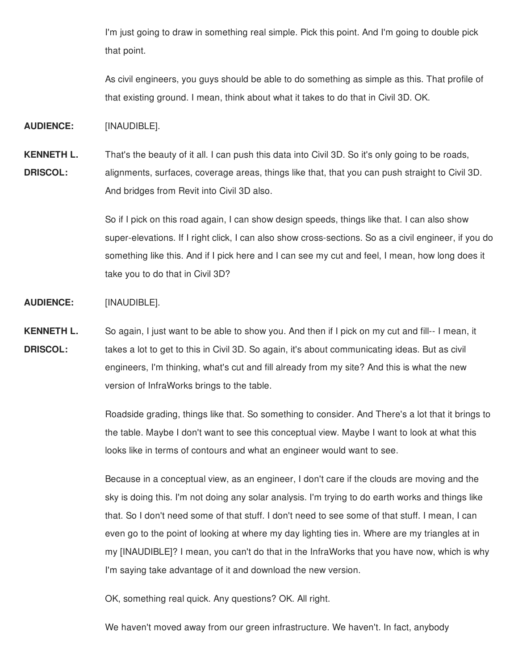I'm just going to draw in something real simple. Pick this point. And I'm going to double pick that point.

As civil engineers, you guys should be able to do something as simple as this. That profile of that existing ground. I mean, think about what it takes to do that in Civil 3D. OK.

**AUDIENCE:** [INAUDIBLE].

**KENNETH L. DRISCOL:** That's the beauty of it all. I can push this data into Civil 3D. So it's only going to be roads, alignments, surfaces, coverage areas, things like that, that you can push straight to Civil 3D. And bridges from Revit into Civil 3D also.

> So if I pick on this road again, I can show design speeds, things like that. I can also show super-elevations. If I right click, I can also show cross-sections. So as a civil engineer, if you do something like this. And if I pick here and I can see my cut and feel, I mean, how long does it take you to do that in Civil 3D?

**AUDIENCE:** [INAUDIBLE].

**KENNETH L. DRISCOL:** So again, I just want to be able to show you. And then if I pick on my cut and fill-- I mean, it takes a lot to get to this in Civil 3D. So again, it's about communicating ideas. But as civil engineers, I'm thinking, what's cut and fill already from my site? And this is what the new version of InfraWorks brings to the table.

> Roadside grading, things like that. So something to consider. And There's a lot that it brings to the table. Maybe I don't want to see this conceptual view. Maybe I want to look at what this looks like in terms of contours and what an engineer would want to see.

> Because in a conceptual view, as an engineer, I don't care if the clouds are moving and the sky is doing this. I'm not doing any solar analysis. I'm trying to do earth works and things like that. So I don't need some of that stuff. I don't need to see some of that stuff. I mean, I can even go to the point of looking at where my day lighting ties in. Where are my triangles at in my [INAUDIBLE]? I mean, you can't do that in the InfraWorks that you have now, which is why I'm saying take advantage of it and download the new version.

OK, something real quick. Any questions? OK. All right.

We haven't moved away from our green infrastructure. We haven't. In fact, anybody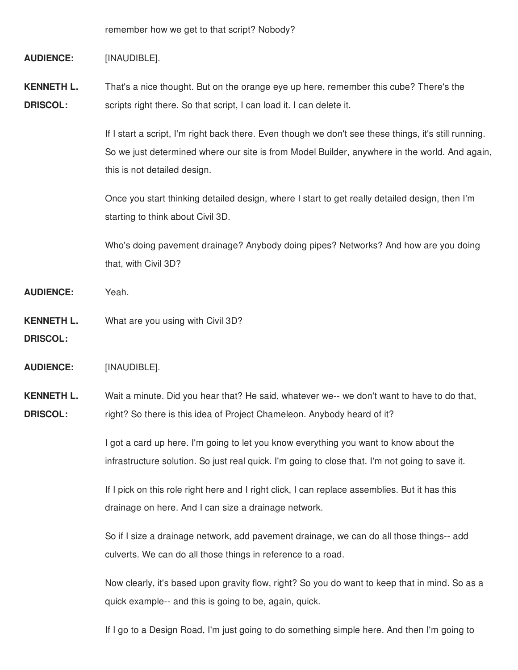remember how we get to that script? Nobody?

#### **AUDIENCE:** [INAUDIBLE].

**KENNETH L. DRISCOL:** That's a nice thought. But on the orange eye up here, remember this cube? There's the scripts right there. So that script, I can load it. I can delete it.

> If I start a script, I'm right back there. Even though we don't see these things, it's still running. So we just determined where our site is from Model Builder, anywhere in the world. And again, this is not detailed design.

Once you start thinking detailed design, where I start to get really detailed design, then I'm starting to think about Civil 3D.

Who's doing pavement drainage? Anybody doing pipes? Networks? And how are you doing that, with Civil 3D?

- **AUDIENCE:** Yeah.
- **KENNETH L. DRISCOL:** What are you using with Civil 3D?

**AUDIENCE:** [INAUDIBLE].

**KENNETH L. DRISCOL:** Wait a minute. Did you hear that? He said, whatever we-- we don't want to have to do that, right? So there is this idea of Project Chameleon. Anybody heard of it?

> I got a card up here. I'm going to let you know everything you want to know about the infrastructure solution. So just real quick. I'm going to close that. I'm not going to save it.

If I pick on this role right here and I right click, I can replace assemblies. But it has this drainage on here. And I can size a drainage network.

So if I size a drainage network, add pavement drainage, we can do all those things-- add culverts. We can do all those things in reference to a road.

Now clearly, it's based upon gravity flow, right? So you do want to keep that in mind. So as a quick example-- and this is going to be, again, quick.

If I go to a Design Road, I'm just going to do something simple here. And then I'm going to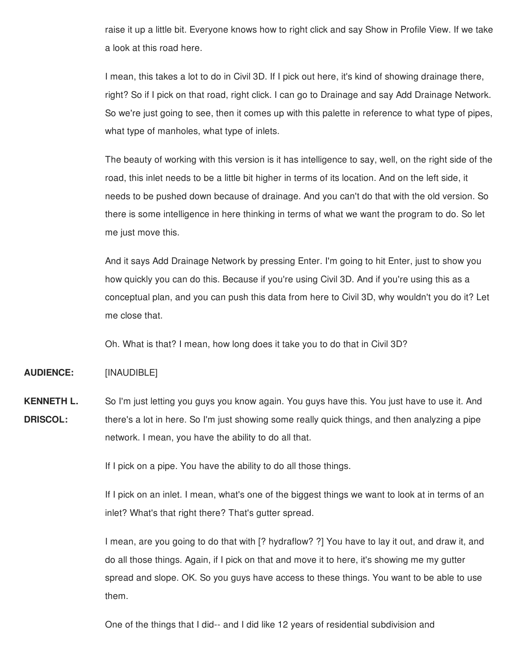raise it up a little bit. Everyone knows how to right click and say Show in Profile View. If we take a look at this road here.

I mean, this takes a lot to do in Civil 3D. If I pick out here, it's kind of showing drainage there, right? So if I pick on that road, right click. I can go to Drainage and say Add Drainage Network. So we're just going to see, then it comes up with this palette in reference to what type of pipes, what type of manholes, what type of inlets.

The beauty of working with this version is it has intelligence to say, well, on the right side of the road, this inlet needs to be a little bit higher in terms of its location. And on the left side, it needs to be pushed down because of drainage. And you can't do that with the old version. So there is some intelligence in here thinking in terms of what we want the program to do. So let me just move this.

And it says Add Drainage Network by pressing Enter. I'm going to hit Enter, just to show you how quickly you can do this. Because if you're using Civil 3D. And if you're using this as a conceptual plan, and you can push this data from here to Civil 3D, why wouldn't you do it? Let me close that.

Oh. What is that? I mean, how long does it take you to do that in Civil 3D?

**AUDIENCE:** [INAUDIBLE]

**KENNETH L. DRISCOL:** So I'm just letting you guys you know again. You guys have this. You just have to use it. And there's a lot in here. So I'm just showing some really quick things, and then analyzing a pipe network. I mean, you have the ability to do all that.

If I pick on a pipe. You have the ability to do all those things.

If I pick on an inlet. I mean, what's one of the biggest things we want to look at in terms of an inlet? What's that right there? That's gutter spread.

I mean, are you going to do that with [? hydraflow? ?] You have to lay it out, and draw it, and do all those things. Again, if I pick on that and move it to here, it's showing me my gutter spread and slope. OK. So you guys have access to these things. You want to be able to use them.

One of the things that I did-- and I did like 12 years of residential subdivision and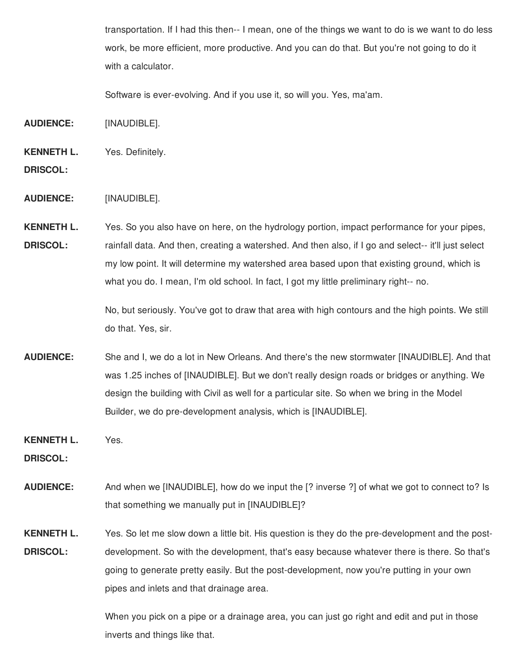transportation. If I had this then-- I mean, one of the things we want to do is we want to do less work, be more efficient, more productive. And you can do that. But you're not going to do it with a calculator.

Software is ever-evolving. And if you use it, so will you. Yes, ma'am.

- **AUDIENCE:** [INAUDIBLE].
- **KENNETH L.** Yes. Definitely.
- **DRISCOL:**
- **AUDIENCE:** [INAUDIBLE].

**KENNETH L. DRISCOL:** Yes. So you also have on here, on the hydrology portion, impact performance for your pipes, rainfall data. And then, creating a watershed. And then also, if I go and select-- it'll just select my low point. It will determine my watershed area based upon that existing ground, which is what you do. I mean, I'm old school. In fact, I got my little preliminary right-- no.

> No, but seriously. You've got to draw that area with high contours and the high points. We still do that. Yes, sir.

- **AUDIENCE:** She and I, we do a lot in New Orleans. And there's the new stormwater [INAUDIBLE]. And that was 1.25 inches of [INAUDIBLE]. But we don't really design roads or bridges or anything. We design the building with Civil as well for a particular site. So when we bring in the Model Builder, we do pre-development analysis, which is [INAUDIBLE].
- **KENNETH L.** Yes.

**DRISCOL:**

- **AUDIENCE:** And when we [INAUDIBLE], how do we input the [? inverse ?] of what we got to connect to? Is that something we manually put in [INAUDIBLE]?
- **KENNETH L. DRISCOL:** Yes. So let me slow down a little bit. His question is they do the pre-development and the postdevelopment. So with the development, that's easy because whatever there is there. So that's going to generate pretty easily. But the post-development, now you're putting in your own pipes and inlets and that drainage area.

When you pick on a pipe or a drainage area, you can just go right and edit and put in those inverts and things like that.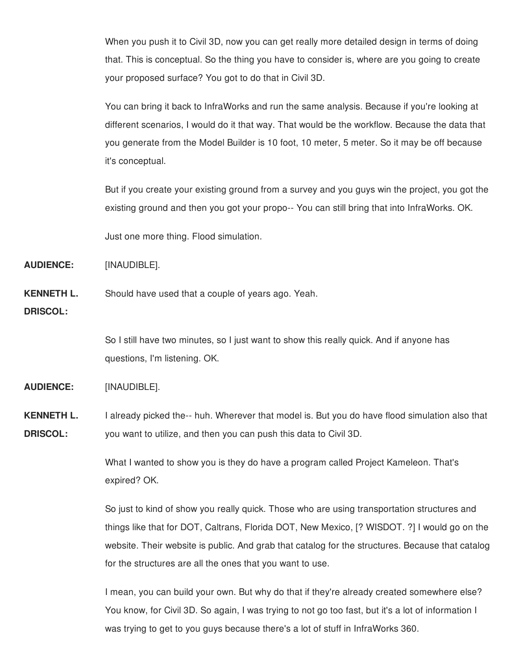When you push it to Civil 3D, now you can get really more detailed design in terms of doing that. This is conceptual. So the thing you have to consider is, where are you going to create your proposed surface? You got to do that in Civil 3D.

You can bring it back to InfraWorks and run the same analysis. Because if you're looking at different scenarios, I would do it that way. That would be the workflow. Because the data that you generate from the Model Builder is 10 foot, 10 meter, 5 meter. So it may be off because it's conceptual.

But if you create your existing ground from a survey and you guys win the project, you got the existing ground and then you got your propo-- You can still bring that into InfraWorks. OK.

Just one more thing. Flood simulation.

**AUDIENCE:** [INAUDIBLE].

**KENNETH L.** Should have used that a couple of years ago. Yeah.

**DRISCOL:**

So I still have two minutes, so I just want to show this really quick. And if anyone has questions, I'm listening. OK.

**AUDIENCE:** [INAUDIBLE].

**KENNETH L. DRISCOL:** I already picked the-- huh. Wherever that model is. But you do have flood simulation also that you want to utilize, and then you can push this data to Civil 3D.

> What I wanted to show you is they do have a program called Project Kameleon. That's expired? OK.

So just to kind of show you really quick. Those who are using transportation structures and things like that for DOT, Caltrans, Florida DOT, New Mexico, [? WISDOT. ?] I would go on the website. Their website is public. And grab that catalog for the structures. Because that catalog for the structures are all the ones that you want to use.

I mean, you can build your own. But why do that if they're already created somewhere else? You know, for Civil 3D. So again, I was trying to not go too fast, but it's a lot of information I was trying to get to you guys because there's a lot of stuff in InfraWorks 360.